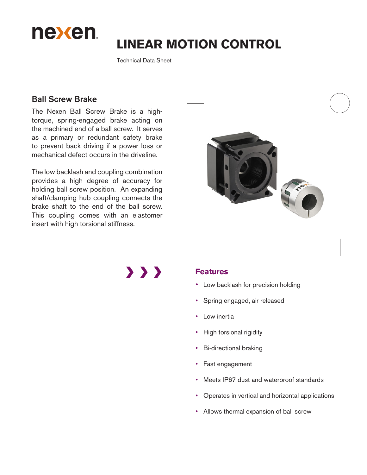

# **LINEAR MOTION CONTROL**

Technical Data Sheet

# Ball Screw Brake

The Nexen Ball Screw Brake is a hightorque, spring-engaged brake acting on the machined end of a ball screw. It serves as a primary or redundant safety brake to prevent back driving if a power loss or mechanical defect occurs in the driveline.

The low backlash and coupling combination provides a high degree of accuracy for holding ball screw position. An expanding shaft/clamping hub coupling connects the brake shaft to the end of the ball screw. This coupling comes with an elastomer insert with high torsional stiffness.



 $\rightarrow$   $\rightarrow$   $\rightarrow$ 

## **Features**

- Low backlash for precision holding
- Spring engaged, air released
- Low inertia
- High torsional rigidity
- **Bi-directional braking**
- Fast engagement
- Meets IP67 dust and waterproof standards
- Operates in vertical and horizontal applications
- Allows thermal expansion of ball screw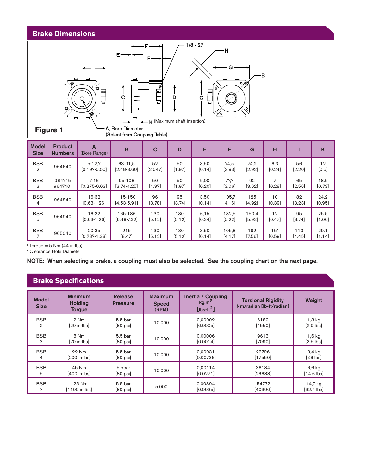#### **Brake Dimensions**



(Select from Coupling Table)

| <b>Model</b><br><b>Size</b> | <b>Product</b><br><b>Numbers</b> | А<br>(Bore Range) | B               | C       | D        | Е      | F        | G        | н      |          | K      |
|-----------------------------|----------------------------------|-------------------|-----------------|---------|----------|--------|----------|----------|--------|----------|--------|
| <b>BSB</b>                  | 964640                           | $5 - 12.7$        | 63-91.5         | 52      | 50       | 3,50   | 74,5     | 74,2     | 6,3    | 56       | 12     |
| $\overline{2}$              |                                  | $[0.197 - 0.50]$  | $[2.48-3.60]$   | [2.047] | $[1.97]$ | [0.14] | $[2.93]$ | $[2.92]$ | [0.24] | [2.20]   | [0.5]  |
| <b>BSB</b>                  | 964745                           | $7 - 16$          | 95-108          | 50      | 50       | 5,00   | 77,7     | 92       | 7      | 65       | 18.5   |
| 3                           | 9647401                          | $[0.275 - 0.63]$  | $[3.74 - 4.25]$ | [1.97]  | $[1.97]$ | [0.20] | [3.06]   | [3.62]   | [0.28] | [2.56]   | [0.73] |
| <b>BSB</b>                  | 964840                           | 16-32             | 115-150         | 96      | 95       | 3,50   | 105,7    | 125      | 10     | 82       | 24.2   |
| 4                           |                                  | $[0.63 - 1.26]$   | $[4.53 - 5.91]$ | [3.78]  | $[3.74]$ | [0.14] | [4.16]   | $[4.92]$ | [0.39] | [3.23]   | [0.95] |
| <b>BSB</b>                  | 964940                           | 16-32             | 165-186         | 130     | 130      | 6,15   | 132,5    | 150.4    | 12     | 95       | 25.5   |
| 5                           |                                  | $[0.63 - 1.26]$   | $[6.49 - 7.32]$ | [5.12]  | [5.12]   | [0.24] | [5.22]   | [5.92]   | [0.47] | $[3.74]$ | [1.00] |
| <b>BSB</b>                  | 965040                           | $20 - 35$         | 215             | 130     | 130      | 3,50   | 105,8    | 192      | $15*$  | 113      | 29.1   |
| 7                           |                                  | $[0.787 - 1.38]$  | [8.47]          | [5.12]  | [5.12]   | [0.14] | [4.17]   | $[7.56]$ | [0.59] | [4.45]   | [1.14] |

 $1$  Torque = 5 Nm (44 in-lbs)

\* Clearance Hole Diameter

NOTE: When selecting a brake, a coupling must also be selected. See the coupling chart on the next page.

## **Brake Specifications**

| <b>Model</b><br><b>Size</b> | <b>Minimum</b><br><b>Holding</b><br><b>Torque</b> | <b>Release</b><br><b>Pressure</b> | <b>Maximum</b><br><b>Speed</b><br>(RPM) | Inertia / Coupling<br>kg.m <sup>2</sup><br>$[$ lbs-ft $^2]$ | <b>Torsional Rigidity</b><br>Nm/radian [lb-ft/radian] | Weight                          |
|-----------------------------|---------------------------------------------------|-----------------------------------|-----------------------------------------|-------------------------------------------------------------|-------------------------------------------------------|---------------------------------|
| <b>BSB</b>                  | 2 Nm                                              | 5.5 bar                           | 10.000                                  | 0.00002                                                     | 6180                                                  | $1,3$ kg                        |
| 2                           | $[20$ in- $\vert$ bs $]$                          | $[80 \text{ psi}]$                |                                         | [0.0005]                                                    | [4550]                                                | $[2.9$ $\mathsf{I}\mathsf{bs}]$ |
| <b>BSB</b>                  | 8 Nm                                              | 5.5 bar                           | 10.000                                  | 0,00006                                                     | 9613                                                  | $1,6$ kg                        |
| 3                           | [70 in-Ibs]                                       | $[80 \text{ psi}]$                |                                         | [0.0014]                                                    | [7090]                                                | $[3.5$ $\sqrt{3}$               |
| <b>BSB</b>                  | 22 Nm                                             | 5.5 bar                           | 10.000                                  | 0.00031                                                     | 23796                                                 | $3,4$ kg                        |
| 4                           | [200 in-Ibs]                                      | $[80 \text{ psi}]$                |                                         | [0.00736]                                                   | [17550]                                               | $[7.6$ lbs]                     |
| <b>BSB</b>                  | 45 Nm                                             | 5.5bar                            | 10.000                                  | 0.00114                                                     | 36184                                                 | $6,6$ kg                        |
| 5                           | [400 in-lbs]                                      | $[80 \text{ psi}]$                |                                         | [0.0271]                                                    | [26688]                                               | $[14.6$ lbs                     |
| <b>BSB</b>                  | 125 Nm<br>$[1100$ in-lbs]                         | 5.5 bar<br>$[80 \text{ psi}]$     | 5,000                                   | 0,00394<br>[0.0935]                                         | 54772<br>[40390]                                      | 14,7 kg<br>$[32.4$ lbs          |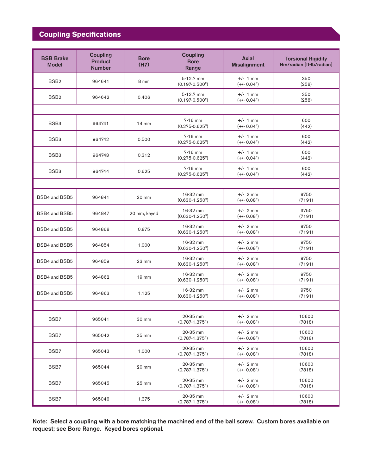# **Coupling Specifications**

| <b>BSB Brake</b><br><b>Model</b> | <b>Coupling</b><br><b>Product</b><br><b>Number</b> | <b>Bore</b><br>(H7) | <b>Coupling</b><br><b>Bore</b><br>Range | <b>Axial</b><br><b>Misalignment</b> | <b>Torsional Rigidity</b><br>Nm/radian [ft-lb/radian] |
|----------------------------------|----------------------------------------------------|---------------------|-----------------------------------------|-------------------------------------|-------------------------------------------------------|
| BSB <sub>2</sub>                 | 964641                                             | 8 mm                | 5-12.7 mm<br>$(0.197 - 0.500")$         | $+/-$ 1 mm<br>$(+/- 0.04")$         | 350<br>(258)                                          |
| BSB <sub>2</sub>                 | 964642                                             | 0.406               | 5-12.7 mm<br>$(0.197 - 0.500")$         | $+/-$ 1 mm<br>$(+/- 0.04")$         | 350<br>(258)                                          |
|                                  |                                                    |                     |                                         |                                     |                                                       |
| BSB <sub>3</sub>                 | 964741                                             | $14 \text{ mm}$     | $7-16$ mm<br>$(0.275 - 0.625")$         | $+/-$ 1 mm<br>$(+/- 0.04")$         | 600<br>(442)                                          |
| BSB <sub>3</sub>                 | 964742                                             | 0.500               | $7-16$ mm<br>$(0.275 - 0.625")$         | $+/-$ 1 mm<br>$(+/- 0.04")$         | 600<br>(442)                                          |
| BSB <sub>3</sub>                 | 964743                                             | 0.312               | $7-16$ mm<br>$(0.275 - 0.625)$          | $+/- 1$ mm<br>$(+/- 0.04")$         | 600<br>(442)                                          |
| BSB <sub>3</sub>                 | 964744                                             | 0.625               | $7-16$ mm<br>$(0.275 - 0.625")$         | $+/- 1$ mm<br>$(+/- 0.04")$         | 600<br>(442)                                          |
|                                  |                                                    |                     |                                         |                                     |                                                       |
| BSB4 and BSB5                    | 964841                                             | 20 mm               | 16-32 mm<br>$(0.630 - 1.250")$          | $+/- 2$ mm<br>$(+/- 0.08")$         | 9750<br>(7191)                                        |
| BSB4 and BSB5                    | 964847                                             | 20 mm, keyed        | 16-32 mm<br>$(0.630 - 1.250")$          | $+/- 2$ mm<br>$(+/- 0.08")$         | 9750<br>(7191)                                        |
| BSB4 and BSB5                    | 964868                                             | 0.875               | 16-32 mm<br>$(0.630 - 1.250")$          | $+/- 2$ mm<br>$(+/- 0.08")$         | 9750<br>(7191)                                        |
| BSB4 and BSB5                    | 964854                                             | 1.000               | 16-32 mm<br>$(0.630 - 1.250")$          | $+/- 2$ mm<br>$(+/- 0.08")$         | 9750<br>(7191)                                        |
| BSB4 and BSB5                    | 964859                                             | 23 mm               | 16-32 mm<br>$(0.630 - 1.250")$          | $+/- 2$ mm<br>$(+/- 0.08")$         | 9750<br>(7191)                                        |
| BSB4 and BSB5                    | 964862                                             | $19 \text{ mm}$     | 16-32 mm<br>$(0.630 - 1.250")$          | $+/- 2$ mm<br>$(+/- 0.08")$         | 9750<br>(7191)                                        |
| BSB4 and BSB5                    | 964863                                             | 1.125               | 16-32 mm<br>$(0.630 - 1.250")$          | $+/- 2$ mm<br>$(+/- 0.08")$         | 9750<br>(7191)                                        |
|                                  |                                                    |                     |                                         |                                     |                                                       |
| BSB7                             | 965041                                             | 30 mm               | 20-35 mm<br>$(0.787 - 1.375")$          | $+/- 2$ mm<br>$(+/- 0.08")$         | 10600<br>(7818)                                       |
| BSB7                             | 965042                                             | 35 mm               | 20-35 mm<br>$(0.787 - 1.375")$          | $+/- 2$ mm<br>$(+/- 0.08")$         | 10600<br>(7818)                                       |
| BSB7                             | 965043                                             | 1.000               | 20-35 mm<br>$(0.787 - 1.375")$          | $+/- 2$ mm<br>$(+/- 0.08")$         | 10600<br>(7818)                                       |
| BSB7                             | 965044                                             | 20 mm               | 20-35 mm<br>$(0.787 - 1.375")$          | $+/- 2$ mm<br>$(+/- 0.08")$         | 10600<br>(7818)                                       |
| BSB7                             | 965045                                             | $25 \text{ mm}$     | 20-35 mm<br>$(0.787 - 1.375")$          | $+/- 2$ mm<br>$(+/- 0.08")$         | 10600<br>(7818)                                       |
| BSB7                             | 965046                                             | 1.375               | 20-35 mm<br>$(0.787 - 1.375")$          | $+/- 2$ mm<br>$(+/- 0.08")$         | 10600<br>(7818)                                       |

Note: Select a coupling with a bore matching the machined end of the ball screw. Custom bores available on request; see Bore Range. Keyed bores optional.